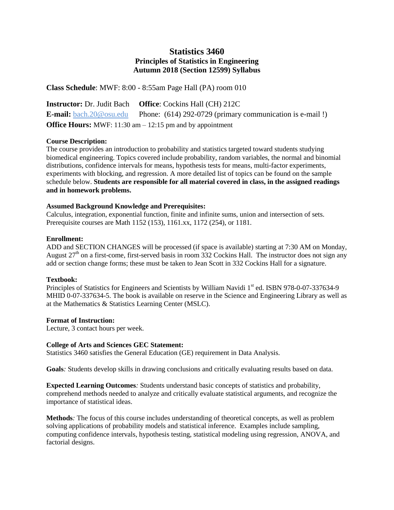# **Statistics 3460 Principles of Statistics in Engineering Autumn 2018 (Section 12599) Syllabus**

**Class Schedule**: MWF: 8:00 - 8:55am Page Hall (PA) room 010

**Instructor:** Dr. Judit Bach **Office**: Cockins Hall (CH) 212C **E-mail:** [bach.20@osu.edu](mailto:bach.20@osu.edu) Phone: (614) 292-0729 (primary communication is e-mail!) **Office Hours:** MWF: 11:30 am – 12:15 pm and by appointment

# **Course Description:**

The course provides an introduction to probability and statistics targeted toward students studying biomedical engineering. Topics covered include probability, random variables, the normal and binomial distributions, confidence intervals for means, hypothesis tests for means, multi-factor experiments, experiments with blocking, and regression. A more detailed list of topics can be found on the sample schedule below. **Students are responsible for all material covered in class, in the assigned readings and in homework problems.**

# **Assumed Background Knowledge and Prerequisites:**

Calculus, integration, exponential function, finite and infinite sums, union and intersection of sets. Prerequisite courses are Math 1152 (153), 1161.xx, 1172 (254), or 1181.

# **Enrollment:**

ADD and SECTION CHANGES will be processed (if space is available) starting at 7:30 AM on Monday, August  $27<sup>th</sup>$  on a first-come, first-served basis in room 332 Cockins Hall. The instructor does not sign any add or section change forms; these must be taken to Jean Scott in 332 Cockins Hall for a signature.

# **Textbook:**

Principles of Statistics for Engineers and Scientists by William Navidi 1<sup>st</sup> ed. ISBN 978-0-07-337634-9 MHID 0-07-337634-5. The book is available on reserve in the Science and Engineering Library as well as at the Mathematics & Statistics Learning Center (MSLC).

#### **Format of Instruction:**

Lecture, 3 contact hours per week.

#### **College of Arts and Sciences GEC Statement:**

Statistics 3460 satisfies the General Education (GE) requirement in Data Analysis.

**Goals***:* Students develop skills in drawing conclusions and critically evaluating results based on data.

**Expected Learning Outcomes***:* Students understand basic concepts of statistics and probability, comprehend methods needed to analyze and critically evaluate statistical arguments, and recognize the importance of statistical ideas.

**Methods***:* The focus of this course includes understanding of theoretical concepts, as well as problem solving applications of probability models and statistical inference. Examples include sampling, computing confidence intervals, hypothesis testing, statistical modeling using regression, ANOVA, and factorial designs.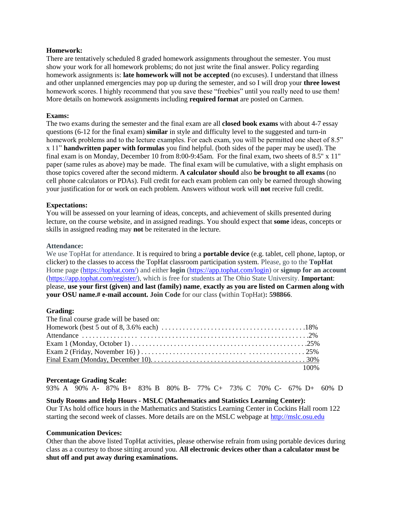#### **Homework:**

There are tentatively scheduled 8 graded homework assignments throughout the semester. You must show your work for all homework problems; do not just write the final answer. Policy regarding homework assignments is: **late homework will not be accepted** (no excuses). I understand that illness and other unplanned emergencies may pop up during the semester, and so I will drop your **three lowest** homework scores. I highly recommend that you save these "freebies" until you really need to use them! More details on homework assignments including **required format** are posted on Carmen.

### **Exams:**

The two exams during the semester and the final exam are all **closed book exams** with about 4-7 essay questions (6-12 for the final exam) **similar** in style and difficulty level to the suggested and turn-in homework problems and to the lecture examples. For each exam, you will be permitted one sheet of 8.5" x 11" **handwritten paper with formulas** you find helpful. (both sides of the paper may be used). The final exam is on Monday, December 10 from 8:00-9:45am. For the final exam, two sheets of 8.5" x 11" paper (same rules as above) may be made. The final exam will be cumulative, with a slight emphasis on those topics covered after the second midterm. **A calculator should** also **be brought to all exams** (no cell phone calculators or PDAs). Full credit for each exam problem can only be earned through showing your justification for or work on each problem. Answers without work will **not** receive full credit.

# **Expectations:**

You will be assessed on your learning of ideas, concepts, and achievement of skills presented during lecture, on the course website, and in assigned readings. You should expect that **some** ideas, concepts or skills in assigned reading may **not** be reiterated in the lecture.

#### **Attendance:**

We use TopHat for attendance. It is required to bring a **portable device** (e.g. tablet, cell phone, laptop, or clicker) to the classes to access the TopHat classroom participation system. Please, go to the **TopHat**  Home page [\(https://tophat.com/\)](https://tophat.com/) and either **login** [\(https://app.tophat.com/login\)](https://app.tophat.com/login) or **signup for an account** [\(https://app.tophat.com/register/\)](https://app.tophat.com/register/), which is free for students at The Ohio State University. **Important**: please, **use your first (given) and last (family) name**, **exactly as you are listed on Carmen along with your OSU name.# e-mail account. Join Code** for our class **(**within TopHat)**: 598866**.

#### **Grading:**

| The final course grade will be based on: |  |
|------------------------------------------|--|
|                                          |  |
|                                          |  |
|                                          |  |
|                                          |  |
|                                          |  |
| 100%                                     |  |

#### **Percentage Grading Scale:**

```
93% A 90% A- 87% B+ 83% B 80% B- 77% C+ 73% C 70% C- 67% D+ 60% D
```
#### **Study Rooms and Help Hours - MSLC (Mathematics and Statistics Learning Center):**

Our TAs hold office hours in the Mathematics and Statistics Learning Center in Cockins Hall room 122 starting the second week of classes. More details are on the MSLC webpage at [http://mslc.osu.edu](http://mslc.osu.edu/)

#### **Communication Devices:**

Other than the above listed TopHat activities, please otherwise refrain from using portable devices during class as a courtesy to those sitting around you. **All electronic devices other than a calculator must be shut off and put away during examinations.**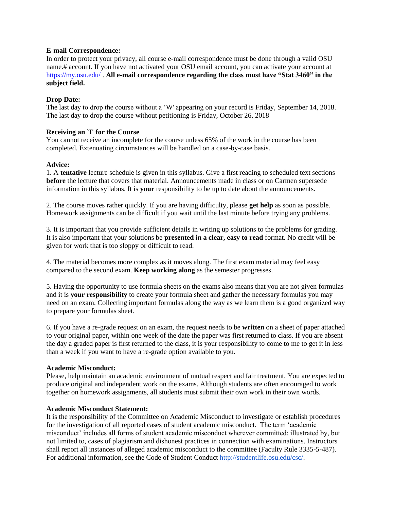#### **E-mail Correspondence:**

In order to protect your privacy, all course e-mail correspondence must be done through a valid OSU name.# account. If you have not activated your OSU email account, you can activate your account at <https://my.osu.edu/> . **All e-mail correspondence regarding the class must have "Stat 3460" in the subject field.**

# **Drop Date:**

The last day to drop the course without a 'W' appearing on your record is Friday, September 14, 2018. The last day to drop the course without petitioning is Friday, October 26, 2018

# **Receiving an `I' for the Course**

You cannot receive an incomplete for the course unless 65% of the work in the course has been completed. Extenuating circumstances will be handled on a case-by-case basis.

# **Advice:**

1. A **tentative** lecture schedule is given in this syllabus. Give a first reading to scheduled text sections **before** the lecture that covers that material. Announcements made in class or on Carmen supersede information in this syllabus. It is **your** responsibility to be up to date about the announcements.

2. The course moves rather quickly. If you are having difficulty, please **get help** as soon as possible. Homework assignments can be difficult if you wait until the last minute before trying any problems.

3. It is important that you provide sufficient details in writing up solutions to the problems for grading. It is also important that your solutions be **presented in a clear, easy to read** format. No credit will be given for work that is too sloppy or difficult to read.

4. The material becomes more complex as it moves along. The first exam material may feel easy compared to the second exam. **Keep working along** as the semester progresses.

5. Having the opportunity to use formula sheets on the exams also means that you are not given formulas and it is **your responsibility** to create your formula sheet and gather the necessary formulas you may need on an exam. Collecting important formulas along the way as we learn them is a good organized way to prepare your formulas sheet.

6. If you have a re-grade request on an exam, the request needs to be **written** on a sheet of paper attached to your original paper, within one week of the date the paper was first returned to class. If you are absent the day a graded paper is first returned to the class, it is your responsibility to come to me to get it in less than a week if you want to have a re-grade option available to you.

#### **Academic Misconduct:**

Please, help maintain an academic environment of mutual respect and fair treatment. You are expected to produce original and independent work on the exams. Although students are often encouraged to work together on homework assignments, all students must submit their own work in their own words.

#### **Academic Misconduct Statement:**

It is the responsibility of the Committee on Academic Misconduct to investigate or establish procedures for the investigation of all reported cases of student academic misconduct. The term 'academic misconduct' includes all forms of student academic misconduct wherever committed; illustrated by, but not limited to, cases of plagiarism and dishonest practices in connection with examinations. Instructors shall report all instances of alleged academic misconduct to the committee (Faculty Rule 3335-5-487). For additional information, see the Code of Student Conduct [http://studentlife.osu.edu/csc/.](http://studentlife.osu.edu/csc/)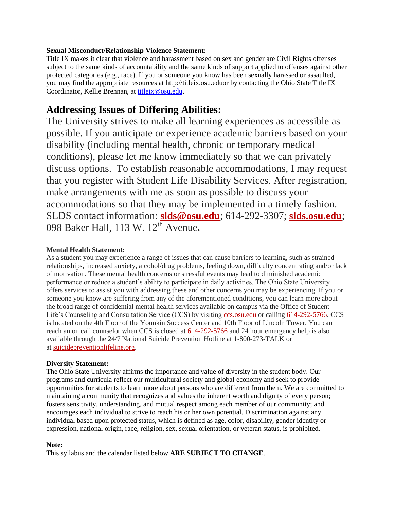# **Sexual Misconduct/Relationship Violence Statement:**

Title IX makes it clear that violence and harassment based on sex and gender are Civil Rights offenses subject to the same kinds of accountability and the same kinds of support applied to offenses against other protected categories (e.g., race). If you or someone you know has been sexually harassed or assaulted, you may find the appropriate resources at http://titleix.osu.eduor by contacting the Ohio State Title IX Coordinator, Kellie Brennan, at [titleix@osu.edu.](mailto:titleix@osu.edu)

# **Addressing Issues of Differing Abilities:**

The University strives to make all learning experiences as accessible as possible. If you anticipate or experience academic barriers based on your disability (including mental health, chronic or temporary medical conditions), please let me know immediately so that we can privately discuss options. To establish reasonable accommodations, I may request that you register with Student Life Disability Services. After registration, make arrangements with me as soon as possible to discuss your accommodations so that they may be implemented in a timely fashion. SLDS contact information: **[slds@osu.edu](mailto:slds@osu.edu)**; 614-292-3307; **[slds.osu.edu](http://www.ods.ohio-state.edu/)**; 098 Baker Hall, 113 W. 12th Avenue**.**

# **Mental Health Statement:**

As a student you may experience a range of issues that can cause barriers to learning, such as strained relationships, increased anxiety, alcohol/drug problems, feeling down, difficulty concentrating and/or lack of motivation. These mental health concerns or stressful events may lead to diminished academic performance or reduce a student's ability to participate in daily activities. The Ohio State University offers services to assist you with addressing these and other concerns you may be experiencing. If you or someone you know are suffering from any of the aforementioned conditions, you can learn more about the broad range of confidential mental health services available on campus via the Office of Student Life's Counseling and Consultation Service (CCS) by visiting [ccs.osu.edu](http://ccs.osu.edu/) or calling [614-292-5766.](tel:%28614%29%20292-5766) CCS is located on the 4th Floor of the Younkin Success Center and 10th Floor of Lincoln Tower. You can reach an on call counselor when CCS is closed at [614-292-5766](tel:%28614%29%20292-5766) and 24 hour emergency help is also available through the 24/7 National Suicide Prevention Hotline at 1-800-273-TALK or at [suicidepreventionlifeline.org.](http://suicidepreventionlifeline.org/)

#### **Diversity Statement:**

The Ohio State University affirms the importance and value of diversity in the student body. Our programs and curricula reflect our multicultural society and global economy and seek to provide opportunities for students to learn more about persons who are different from them. We are committed to maintaining a community that recognizes and values the inherent worth and dignity of every person; fosters sensitivity, understanding, and mutual respect among each member of our community; and encourages each individual to strive to reach his or her own potential. Discrimination against any individual based upon protected status, which is defined as age, color, disability, gender identity or expression, national origin, race, religion, sex, sexual orientation, or veteran status, is prohibited.

#### **Note:**

This syllabus and the calendar listed below **ARE SUBJECT TO CHANGE**.